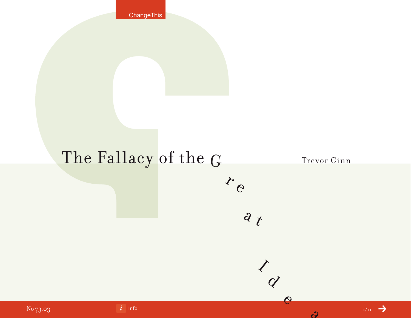**ChangeThis** 

# The Fallacy of the G Trevor Ginn

r e

 $\frac{d}{dt}$ 

 $\overrightarrow{Q}$ 

e a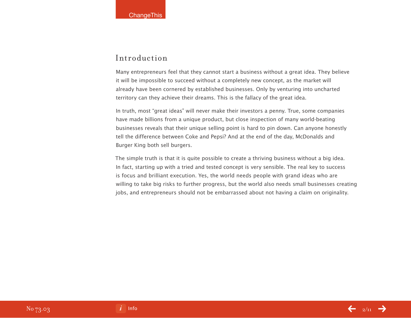### Introduction

Many entrepreneurs feel that they cannot start a business without a great idea. They believe it will be impossible to succeed without a completely new concept, as the market will already have been cornered by established businesses. Only by venturing into uncharted territory can they achieve their dreams. This is the fallacy of the great idea.

In truth, most "great ideas" will never make their investors a penny. True, some companies have made billions from a unique product, but close inspection of many world-beating businesses reveals that their unique selling point is hard to pin down. Can anyone honestly tell the difference between Coke and Pepsi? And at the end of the day, McDonalds and Burger King both sell burgers.

The simple truth is that it is quite possible to create a thriving business without a big idea. In fact, starting up with a tried and tested concept is very sensible. The real key to success is focus and brilliant execution. Yes, the world needs people with grand ideas who are willing to take big risks to further progress, but the world also needs small businesses creating jobs, and entrepreneurs should not be embarrassed about not having a claim on originality.

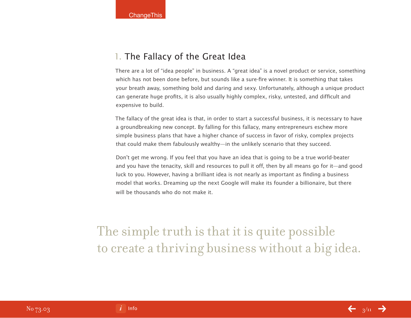### 1. The Fallacy of the Great Idea

There are a lot of "idea people" in business. A "great idea" is a novel product or service, something which has not been done before, but sounds like a sure-fire winner. It is something that takes your breath away, something bold and daring and sexy. Unfortunately, although a unique product can generate huge profits, it is also usually highly complex, risky, untested, and difficult and expensive to build.

The fallacy of the great idea is that, in order to start a successful business, it is necessary to have a groundbreaking new concept. By falling for this fallacy, many entrepreneurs eschew more simple business plans that have a higher chance of success in favor of risky, complex projects that could make them fabulously wealthy—in the unlikely scenario that they succeed.

Don't get me wrong. If you feel that you have an idea that is going to be a true world-beater and you have the tenacity, skill and resources to pull it off, then by all means go for it—and good luck to you. However, having a brilliant idea is not nearly as important as finding a business model that works. Dreaming up the next Google will make its founder a billionaire, but there will be thousands who do not make it.

The simple truth is that it is quite possible to create a thriving business without a big idea.

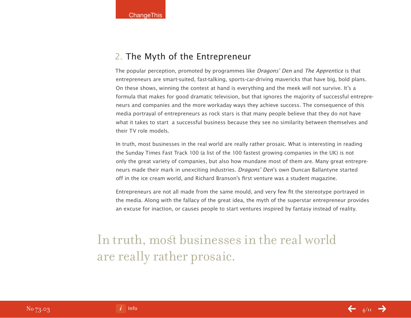### 2. The Myth of the Entrepreneur

The popular perception, promoted by programmes like Dragons' Den and The Apprentice is that entrepreneurs are smart-suited, fast-talking, sports-car-driving mavericks that have big, bold plans. On these shows, winning the contest at hand is everything and the meek will not survive. It's a formula that makes for good dramatic television, but that ignores the majority of successful entrepreneurs and companies and the more workaday ways they achieve success. The consequence of this media portrayal of entrepreneurs as rock stars is that many people believe that they do not have what it takes to start a successful business because they see no similarity between themselves and their TV role models.

In truth, most businesses in the real world are really rather prosaic. What is interesting in reading the Sunday Times Fast Track 100 (a list of the 100 fastest growing companies in the UK) is not only the great variety of companies, but also how mundane most of them are. Many great entrepreneurs made their mark in unexciting industries. *Dragons' Den's* own Duncan Ballantyne started off in the ice cream world, and Richard Branson's first venture was a student magazine.

Entrepreneurs are not all made from the same mould, and very few fit the stereotype portrayed in the media. Along with the fallacy of the great idea, the myth of the superstar entrepreneur provides an excuse for inaction, or causes people to start ventures inspired by fantasy instead of reality.

## In truth, most businesses in the real world are really rather prosaic.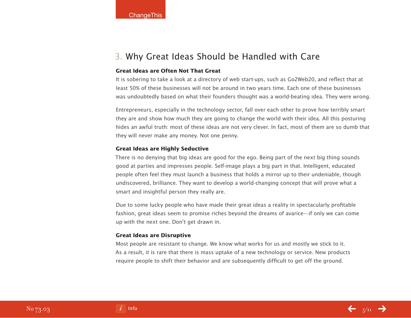### 3. Why Great Ideas Should be Handled with Care

### **Great Ideas are Often Not That Great**

It is sobering to take a look at a directory of web start-ups, such as Go2Web20, and reflect that at least 50% of these businesses will not be around in two years time. Each one of these businesses was undoubtedly based on what their founders thought was a world-beating idea. They were wrong.

Entrepreneurs, especially in the technology sector, fall over each other to prove how terribly smart they are and show how much they are going to change the world with their idea. All this posturing hides an awful truth: most of these ideas are not very clever. In fact, most of them are so dumb that they will never make any money. Not one penny.

### **Great Ideas are Highly Seductive**

There is no denying that big ideas are good for the ego. Being part of the next big thing sounds good at parties and impresses people. Self-image plays a big part in that. Intelligent, educated people often feel they must launch a business that holds a mirror up to their undeniable, though undiscovered, brilliance. They want to develop a world-changing concept that will prove what a smart and insightful person they really are.

Due to some lucky people who have made their great ideas a reality in spectacularly profitable fashion, great ideas seem to promise riches beyond the dreams of avarice—if only we can come up with the next one. Don't get drawn in.

### **Great Ideas are Disruptive**

Most people are resistant to change. We know what works for us and mostly we stick to it. As a result, it is rare that there is mass uptake of a new technology or service. New products require people to shift their behavior and are subsequently difficult to get off the ground.

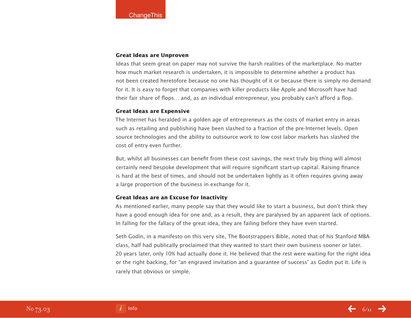### **Great Ideas are Unproven**

Ideas that seem great on paper may not survive the harsh realities of the marketplace. No matter how much market research is undertaken, it is impossible to determine whether a product has not been created heretofore because no one has thought of it or because there is simply no demand for it. It is easy to forget that companies with killer products like Apple and Microsoft have had their fair share of flops… and, as an individual entrepreneur, you probably can't afford a flop.

### **Great Ideas are Expensive**

The Internet has heralded in a golden age of entrepreneurs as the costs of market entry in areas such as retailing and publishing have been slashed to a fraction of the pre-Internet levels. Open source technologies and the ability to outsource work to low cost labor markets has slashed the cost of entry even further.

But, whilst all businesses can benefit from these cost savings, the next truly big thing will almost certainly need bespoke development that will require significant start-up capital. Raising finance is hard at the best of times, and should not be undertaken lightly as it often requires giving away a large proportion of the business in exchange for it.

### **Great Ideas are an Excuse for Inactivity**

As mentioned earlier, many people say that they would like to start a business, but don't think they have a good enough idea for one and, as a result, they are paralysed by an apparent lack of options. In falling for the fallacy of the great idea, they are failing before they have even started.

Seth Godin, in a manifesto on this very site, The Bootstrappers Bible, noted that of his Stanford MBA class, half had publically proclaimed that they wanted to start their own business sooner or later. 20 years later, only 10% had actually done it. He believed that the rest were waiting for the right idea or the right backing, for "an engraved invitation and a guarantee of success" as Godin put it. Life is rarely that obvious or simple.

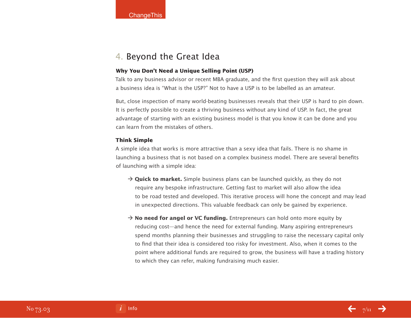### 4. Beyond the Great Idea

### **Why You Don't Need a Unique Selling Point (USP)**

Talk to any business advisor or recent MBA graduate, and the first question they will ask about a business idea is "What is the USP?" Not to have a USP is to be labelled as an amateur.

But, close inspection of many world-beating businesses reveals that their USP is hard to pin down. It is perfectly possible to create a thriving business without any kind of USP. In fact, the great advantage of starting with an existing business model is that you know it can be done and you can learn from the mistakes of others.

### **Think Simple**

A simple idea that works is more attractive than a sexy idea that fails. There is no shame in launching a business that is not based on a complex business model. There are several benefits of launching with a simple idea:

- $\rightarrow$  **Quick to market.** Simple business plans can be launched quickly, as they do not require any bespoke infrastructure. Getting fast to market will also allow the idea to be road tested and developed. This iterative process will hone the concept and may lead in unexpected directions. This valuable feedback can only be gained by experience.
- $\rightarrow$  **No need for angel or VC funding.** Entrepreneurs can hold onto more equity by reducing cost—and hence the need for external funding. Many aspiring entrepreneurs spend months planning their businesses and struggling to raise the necessary capital only to find that their idea is considered too risky for investment. Also, when it comes to the point where additional funds are required to grow, the business will have a trading history to which they can refer, making fundraising much easier.

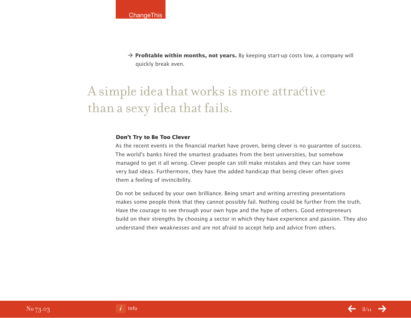$\rightarrow$  **Profitable within months, not years.** By keeping start-up costs low, a company will quickly break even.

# A simple idea that works is more attractive than a sexy idea that fails.

### **Don't Try to Be Too Clever**

As the recent events in the financial market have proven, being clever is no guarantee of success. The world's banks hired the smartest graduates from the best universities, but somehow managed to get it all wrong. Clever people can still make mistakes and they can have some very bad ideas. Furthermore, they have the added handicap that being clever often gives them a feeling of invincibility.

Do not be seduced by your own brilliance. Being smart and writing arresting presentations makes some people think that they cannot possibly fail. Nothing could be further from the truth. Have the courage to see through your own hype and the hype of others. Good entrepreneurs build on their strengths by choosing a sector in which they have experience and passion. They also understand their weaknesses and are not afraid to accept help and advice from others.

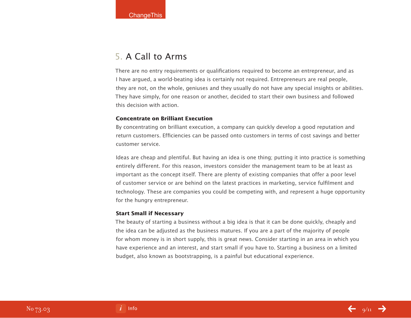### 5. A Call to Arms

There are no entry requirements or qualifications required to become an entrepreneur, and as I have argued, a world-beating idea is certainly not required. Entrepreneurs are real people, they are not, on the whole, geniuses and they usually do not have any special insights or abilities. They have simply, for one reason or another, decided to start their own business and followed this decision with action.

### **Concentrate on Brilliant Execution**

By concentrating on brilliant execution, a company can quickly develop a good reputation and return customers. Efficiencies can be passed onto customers in terms of cost savings and better customer service.

Ideas are cheap and plentiful. But having an idea is one thing; putting it into practice is something entirely different. For this reason, investors consider the management team to be at least as important as the concept itself. There are plenty of existing companies that offer a poor level of customer service or are behind on the latest practices in marketing, service fulfilment and technology. These are companies you could be competing with, and represent a huge opportunity for the hungry entrepreneur.

### **Start Small if Necessary**

The beauty of starting a business without a big idea is that it can be done quickly, cheaply and the idea can be adjusted as the business matures. If you are a part of the majority of people for whom money is in short supply, this is great news. Consider starting in an area in which you have experience and an interest, and start small if you have to. Starting a business on a limited budget, also known as bootstrapping, is a painful but educational experience.

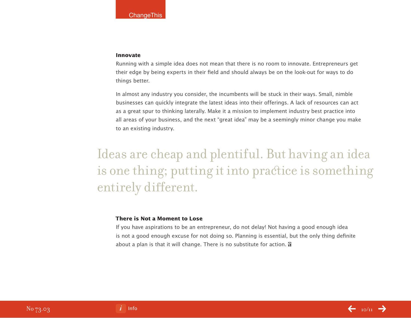#### **Innovate**

Running with a simple idea does not mean that there is no room to innovate. Entrepreneurs get their edge by being experts in their field and should always be on the look-out for ways to do things better.

In almost any industry you consider, the incumbents will be stuck in their ways. Small, nimble businesses can quickly integrate the latest ideas into their offerings. A lack of resources can act as a great spur to thinking laterally. Make it a mission to implement industry best practice into all areas of your business, and the next "great idea" may be a seemingly minor change you make to an existing industry.

# Ideas are cheap and plentiful. But having an idea is one thing; putting it into practice is something entirely different.

### **There is Not a Moment to Lose**

If you have aspirations to be an entrepreneur, do not delay! Not having a good enough idea is not a good enough excuse for not doing so. Planning is essential, but the only thing definite about a plan is that it will change. There is no substitute for action. **a**